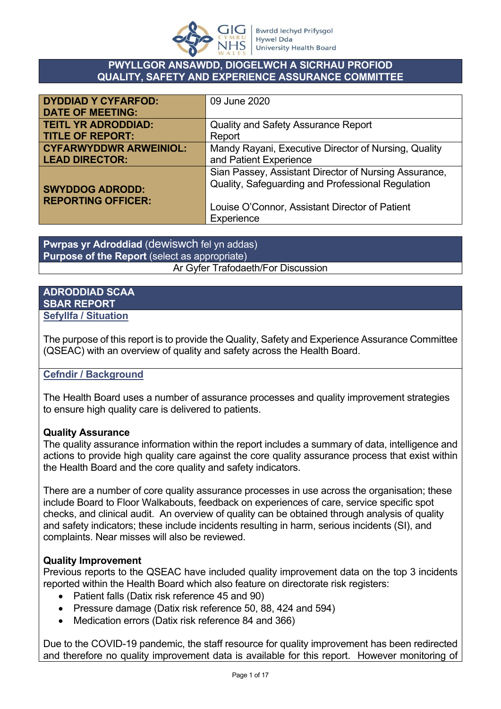

## **PWYLLGOR ANSAWDD, DIOGELWCH A SICRHAU PROFIOD QUALITY, SAFETY AND EXPERIENCE ASSURANCE COMMITTEE**

| <b>DYDDIAD Y CYFARFOD:</b>    | 09 June 2020                                          |
|-------------------------------|-------------------------------------------------------|
| <b>DATE OF MEETING:</b>       |                                                       |
| <b>TEITL YR ADRODDIAD:</b>    | <b>Quality and Safety Assurance Report</b>            |
| <b>TITLE OF REPORT:</b>       | Report                                                |
| <b>CYFARWYDDWR ARWEINIOL:</b> | Mandy Rayani, Executive Director of Nursing, Quality  |
| <b>LEAD DIRECTOR:</b>         | and Patient Experience                                |
|                               | Sian Passey, Assistant Director of Nursing Assurance, |
| <b>SWYDDOG ADRODD:</b>        | Quality, Safeguarding and Professional Regulation     |
| <b>REPORTING OFFICER:</b>     |                                                       |
|                               | Louise O'Connor, Assistant Director of Patient        |
|                               | Experience                                            |

**Pwrpas yr Adroddiad** (dewiswch fel yn addas) **Purpose of the Report** (select as appropriate) Ar Gyfer Trafodaeth/For Discussion

#### **ADRODDIAD SCAA SBAR REPORT Sefyllfa / Situation**

The purpose of this report is to provide the Quality, Safety and Experience Assurance Committee (QSEAC) with an overview of quality and safety across the Health Board.

## **Cefndir / Background**

The Health Board uses a number of assurance processes and quality improvement strategies to ensure high quality care is delivered to patients.

## **Quality Assurance**

The quality assurance information within the report includes a summary of data, intelligence and actions to provide high quality care against the core quality assurance process that exist within the Health Board and the core quality and safety indicators.

There are a number of core quality assurance processes in use across the organisation; these include Board to Floor Walkabouts, feedback on experiences of care, service specific spot checks, and clinical audit. An overview of quality can be obtained through analysis of quality and safety indicators; these include incidents resulting in harm, serious incidents (SI), and complaints. Near misses will also be reviewed.

## **Quality Improvement**

Previous reports to the QSEAC have included quality improvement data on the top 3 incidents reported within the Health Board which also feature on directorate risk registers:

- Patient falls (Datix risk reference 45 and 90)
- Pressure damage (Datix risk reference 50, 88, 424 and 594)
- Medication errors (Datix risk reference 84 and 366)

Due to the COVID-19 pandemic, the staff resource for quality improvement has been redirected and therefore no quality improvement data is available for this report. However monitoring of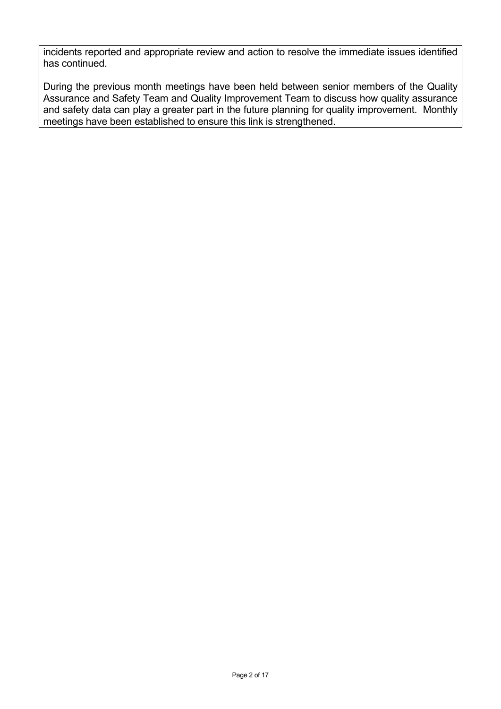incidents reported and appropriate review and action to resolve the immediate issues identified has continued.

During the previous month meetings have been held between senior members of the Quality Assurance and Safety Team and Quality Improvement Team to discuss how quality assurance and safety data can play a greater part in the future planning for quality improvement. Monthly meetings have been established to ensure this link is strengthened.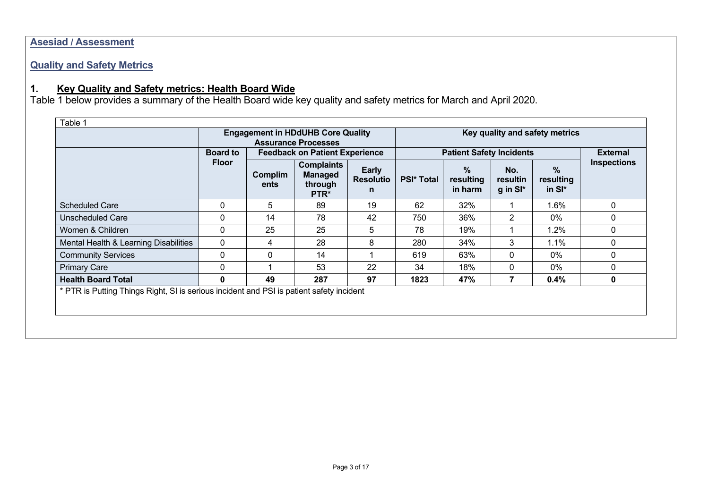## **Asesiad / Assessment**

# **Quality and Safety Metrics**

## **1. Key Quality and Safety metrics: Health Board Wide**

Table 1 below provides a summary of the Health Board wide key quality and safety metrics for March and April 2020.

|                                                                                          | <b>Engagement in HDdUHB Core Quality</b><br><b>Assurance Processes</b> |                                       |                                                        |                                 | Key quality and safety metrics |                           |                               |                             |                    |
|------------------------------------------------------------------------------------------|------------------------------------------------------------------------|---------------------------------------|--------------------------------------------------------|---------------------------------|--------------------------------|---------------------------|-------------------------------|-----------------------------|--------------------|
|                                                                                          | <b>Board to</b>                                                        | <b>Feedback on Patient Experience</b> |                                                        | <b>Patient Safety Incidents</b> |                                |                           |                               | <b>External</b>             |                    |
|                                                                                          | <b>Floor</b>                                                           | Complim<br>ents                       | <b>Complaints</b><br><b>Managed</b><br>through<br>PTR* | Early<br><b>Resolutio</b><br>n  | <b>PSI* Total</b>              | %<br>resulting<br>in harm | No.<br>resultin<br>$g$ in SI* | $\%$<br>resulting<br>in SI* | <b>Inspections</b> |
| <b>Scheduled Care</b>                                                                    | 0                                                                      | 5                                     | 89                                                     | 19                              | 62                             | 32%                       |                               | 1.6%                        | $\mathbf{0}$       |
| <b>Unscheduled Care</b>                                                                  | 0                                                                      | 14                                    | 78                                                     | 42                              | 750                            | 36%                       | 2                             | 0%                          | $\mathbf{0}$       |
| Women & Children                                                                         | 0                                                                      | 25                                    | 25                                                     | 5                               | 78                             | 19%                       |                               | 1.2%                        | 0                  |
| Mental Health & Learning Disabilities                                                    | $\mathbf 0$                                                            | 4                                     | 28                                                     | 8                               | 280                            | 34%                       | 3                             | 1.1%                        | $\mathbf{0}$       |
| <b>Community Services</b>                                                                | 0                                                                      | $\Omega$                              | 14                                                     |                                 | 619                            | 63%                       | 0                             | 0%                          | 0                  |
| <b>Primary Care</b>                                                                      | 0                                                                      |                                       | 53                                                     | 22                              | 34                             | 18%                       | 0                             | 0%                          | 0                  |
| <b>Health Board Total</b>                                                                | $\mathbf{0}$                                                           | 49                                    | 287                                                    | 97                              | 1823                           | 47%                       | 7                             | 0.4%                        | 0                  |
| * PTR is Putting Things Right, SI is serious incident and PSI is patient safety incident |                                                                        |                                       |                                                        |                                 |                                |                           |                               |                             |                    |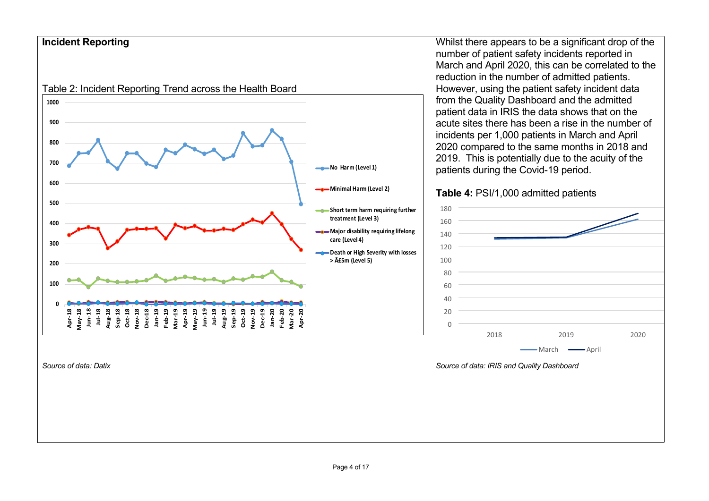## **Incident Reporting**



*Source of data: Datix*

Whilst there appears to be a significant drop of the number of patient safety incidents reported in March and April 2020, this can be correlated to the reduction in the number of admitted patients. However, using the patient safety incident data from the Quality Dashboard and the admitted patient data in IRIS the data shows that on the acute sites there has been a rise in the number of incidents per 1,000 patients in March and April 2020 compared to the same months in 2018 and 2019. This is potentially due to the acuity of the patients during the Covid-19 period.

### **Table 4:** PSI/1,000 admitted patients



*Source of data: IRIS and Quality Dashboard*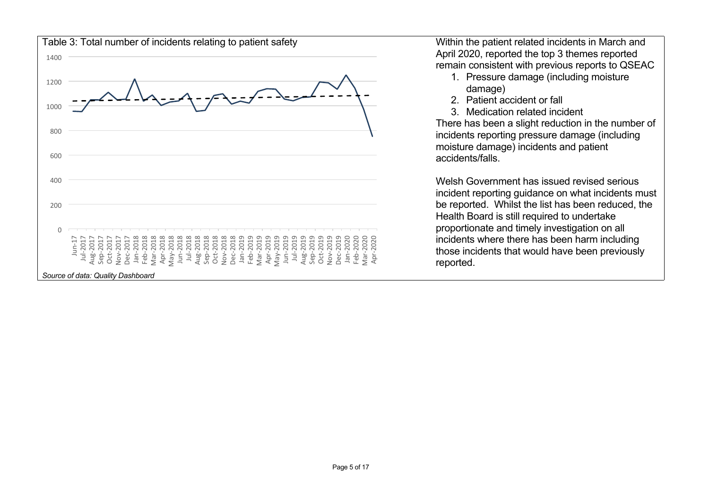

Within the patient related incidents in March and April 2020, reported the top 3 themes reported remain consistent with previous reports to QSEAC

- 1. Pressure damage (including moisture damage)
- 2. Patient accident or fall
- 3. Medication related incident

There has been a slight reduction in the number of incidents reporting pressure damage (including moisture damage) incidents and patient accidents/falls.

Welsh Government has issued revised serious incident reporting guidance on what incidents must be reported. Whilst the list has been reduced, the Health Board is still required to undertake proportionate and timely investigation on all incidents where there has been harm including those incidents that would have been previously reported.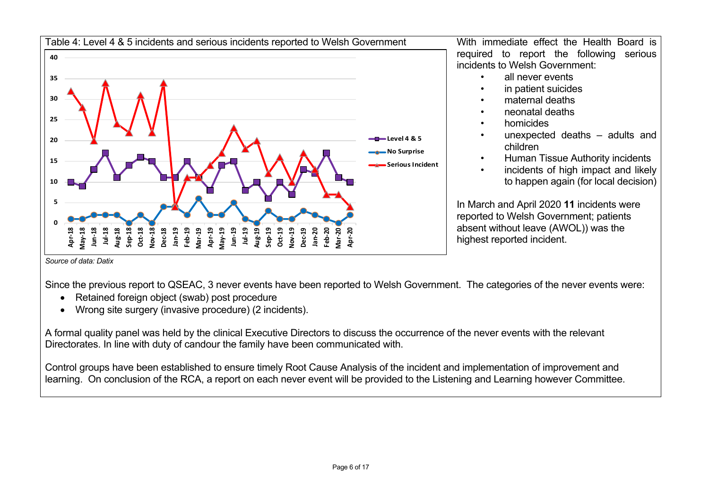

Since the previous report to QSEAC, 3 never events have been reported to Welsh Government. The categories of the never events were:

- Retained foreign object (swab) post procedure
- Wrong site surgery (invasive procedure) (2 incidents).

A formal quality panel was held by the clinical Executive Directors to discuss the occurrence of the never events with the relevant Directorates. In line with duty of candour the family have been communicated with.

Control groups have been established to ensure timely Root Cause Analysis of the incident and implementation of improvement and learning. On conclusion of the RCA, a report on each never event will be provided to the Listening and Learning however Committee.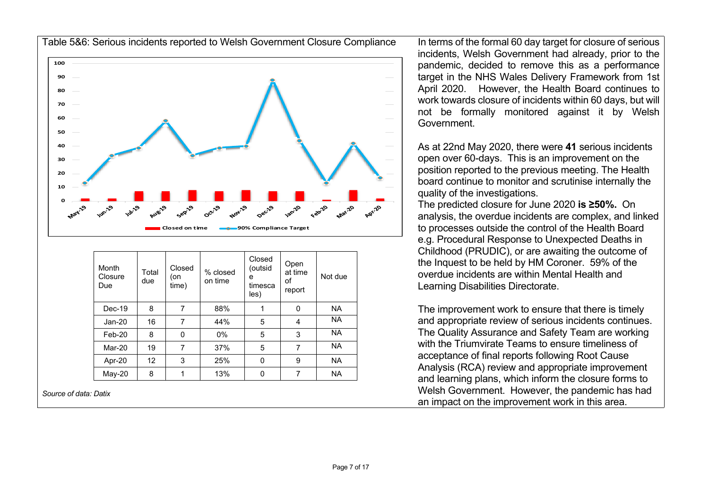

| Month<br>Closure<br>Due | Total<br>due      | Closed<br>on!<br>time) | % closed<br>on time | Closed<br>(outsid<br>e<br>timesca<br>les) | Open<br>at time<br>οf<br>report | Not due   |
|-------------------------|-------------------|------------------------|---------------------|-------------------------------------------|---------------------------------|-----------|
| $Dec-19$                | 8                 | 7                      | 88%                 |                                           | 0                               | <b>NA</b> |
| $Jan-20$                | 16                | 7                      | 44%                 | 5                                         | 4                               | <b>NA</b> |
| $Feb-20$                | 8                 | $\Omega$               | $0\%$               | 5                                         | 3                               | <b>NA</b> |
| Mar-20                  | 19                | 7                      | 37%                 | 5                                         | 7                               | <b>NA</b> |
| Apr-20                  | $12 \overline{ }$ | 3                      | 25%                 | 0                                         | 9                               | <b>NA</b> |
| May-20                  | 8                 |                        | 13%                 | 0                                         | 7                               | <b>NA</b> |

*Source of data: Datix* 

In terms of the formal 60 day target for closure of serious incidents, Welsh Government had already, prior to the pandemic, decided to remove this as a performance target in the NHS Wales Delivery Framework from 1st April 2020. However, the Health Board continues to work towards closure of incidents within 60 days, but will not be formally monitored against it by Welsh Government.

As at 22nd May 2020, there were **41** serious incidents open over 60-days. This is an improvement on the position reported to the previous meeting. The Health board continue to monitor and scrutinise internally the quality of the investigations.

The predicted closure for June 2020 **is ≥50%.** On analysis, the overdue incidents are complex, and linked to processes outside the control of the Health Board e.g. Procedural Response to Unexpected Deaths in Childhood (PRUDIC), or are awaiting the outcome of the Inquest to be held by HM Coroner. 59% of the overdue incidents are within Mental Health and Learning Disabilities Directorate.

The improvement work to ensure that there is timely and appropriate review of serious incidents continues. The Quality Assurance and Safety Team are working with the Triumvirate Teams to ensure timeliness of acceptance of final reports following Root Cause Analysis (RCA) review and appropriate improvement and learning plans, which inform the closure forms to Welsh Government. However, the pandemic has had an impact on the improvement work in this area.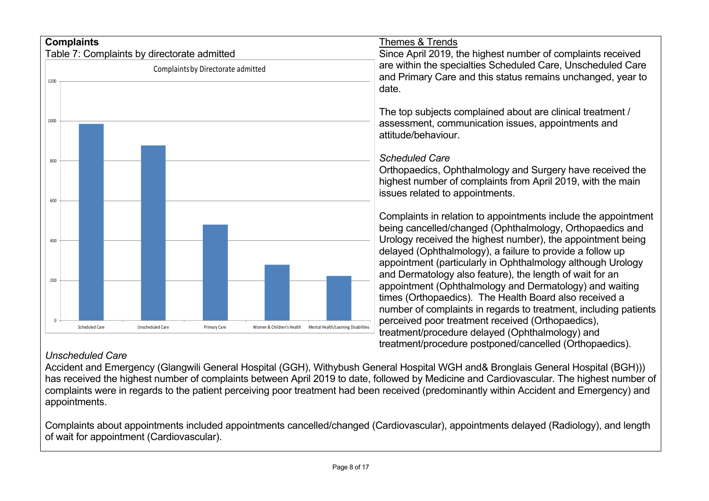

## *Unscheduled Care*

Accident and Emergency (Glangwili General Hospital (GGH), Withybush General Hospital WGH and& Bronglais General Hospital (BGH))) has received the highest number of complaints between April 2019 to date, followed by Medicine and Cardiovascular. The highest number of complaints were in regards to the patient perceiving poor treatment had been received (predominantly within Accident and Emergency) and appointments.

Complaints about appointments included appointments cancelled/changed (Cardiovascular), appointments delayed (Radiology), and length of wait for appointment (Cardiovascular).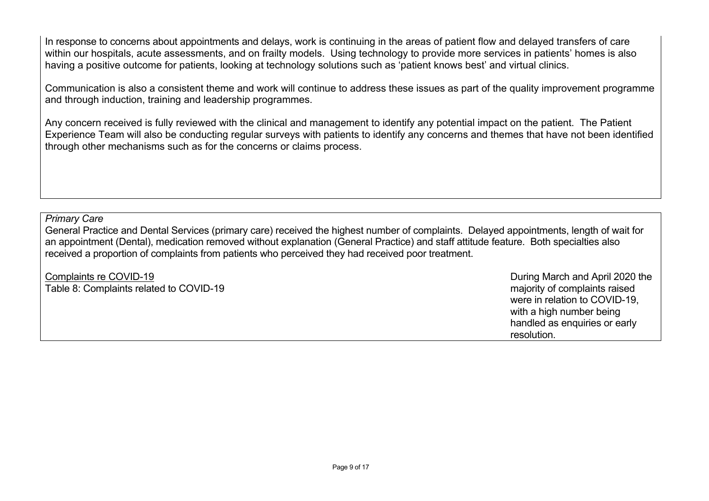In response to concerns about appointments and delays, work is continuing in the areas of patient flow and delayed transfers of care within our hospitals, acute assessments, and on frailty models. Using technology to provide more services in patients' homes is also having a positive outcome for patients, looking at technology solutions such as 'patient knows best' and virtual clinics.

Communication is also a consistent theme and work will continue to address these issues as part of the quality improvement programme and through induction, training and leadership programmes.

Any concern received is fully reviewed with the clinical and management to identify any potential impact on the patient. The Patient Experience Team will also be conducting regular surveys with patients to identify any concerns and themes that have not been identified through other mechanisms such as for the concerns or claims process.

*Primary Care*

General Practice and Dental Services (primary care) received the highest number of complaints. Delayed appointments, length of wait for an appointment (Dental), medication removed without explanation (General Practice) and staff attitude feature. Both specialties also received a proportion of complaints from patients who perceived they had received poor treatment.

| Complaints re COVID-19<br>Table 8: Complaints related to COVID-19 | During March and April 2020 the<br>majority of complaints raised |
|-------------------------------------------------------------------|------------------------------------------------------------------|
|                                                                   | were in relation to COVID-19,<br>with a high number being        |
|                                                                   | handled as enquiries or early                                    |
|                                                                   | resolution.                                                      |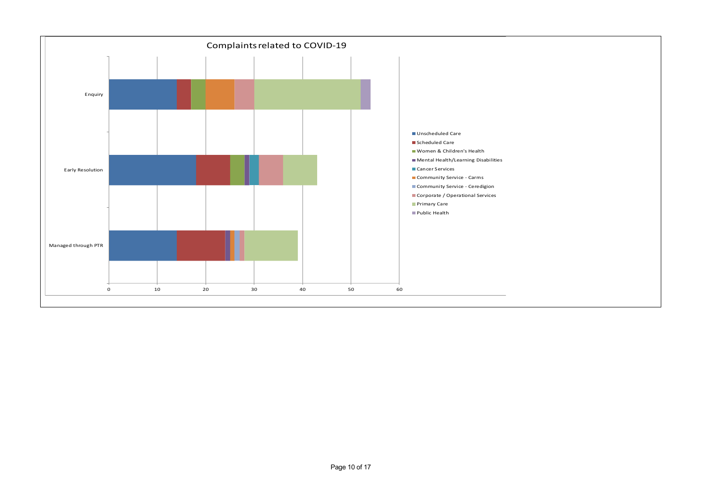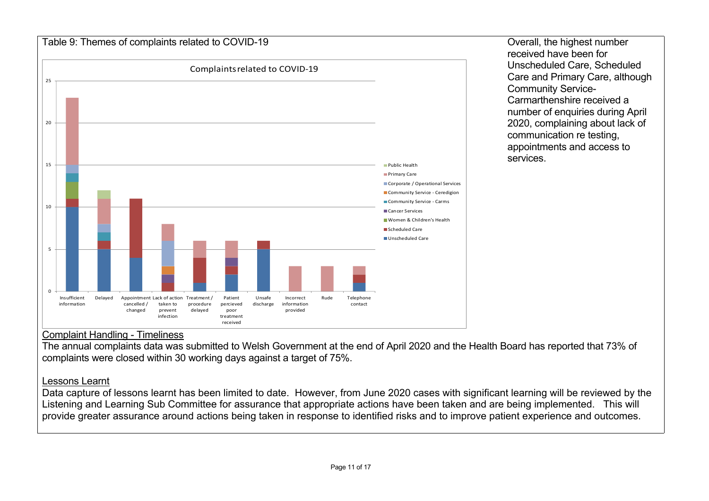

received have been for Unscheduled Care, Scheduled Care and Primary Care, although Community Service-Carmarthenshire received a number of enquiries during April 2020, complaining about lack of communication re testing, appointments and access to services.

## Complaint Handling - Timeliness

The annual complaints data was submitted to Welsh Government at the end of April 2020 and the Health Board has reported that 73% of complaints were closed within 30 working days against a target of 75%.

## Lessons Learnt

Data capture of lessons learnt has been limited to date. However, from June 2020 cases with significant learning will be reviewed by the Listening and Learning Sub Committee for assurance that appropriate actions have been taken and are being implemented. This will provide greater assurance around actions being taken in response to identified risks and to improve patient experience and outcomes.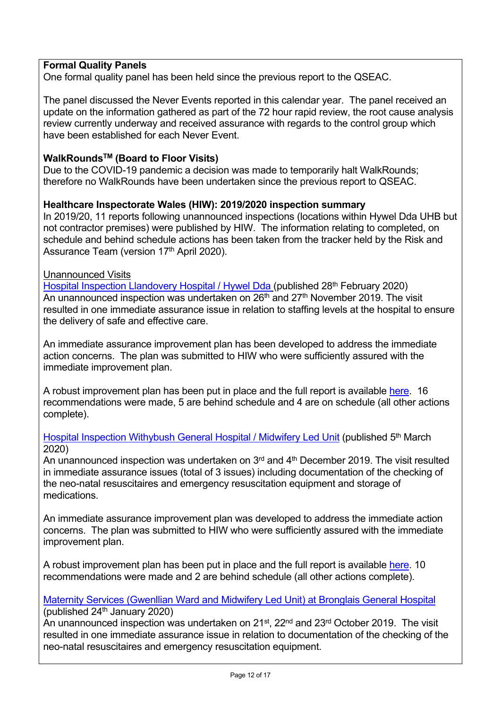## **Formal Quality Panels**

One formal quality panel has been held since the previous report to the QSEAC.

The panel discussed the Never Events reported in this calendar year. The panel received an update on the information gathered as part of the 72 hour rapid review, the root cause analysis review currently underway and received assurance with regards to the control group which have been established for each Never Event.

## **WalkRoundsTM (Board to Floor Visits)**

Due to the COVID-19 pandemic a decision was made to temporarily halt WalkRounds; therefore no WalkRounds have been undertaken since the previous report to QSEAC.

### **Healthcare Inspectorate Wales (HIW): 2019/2020 inspection summary**

In 2019/20, 11 reports following unannounced inspections (locations within Hywel Dda UHB but not contractor premises) were published by HIW. The information relating to completed, on schedule and behind schedule actions has been taken from the tracker held by the Risk and Assurance Team (version 17<sup>th</sup> April 2020).

### Unannounced Visits

[Hospital Inspection Llandovery Hospital / Hywel Dda](https://hiw.org.uk/sites/default/files/2020-02/200228llandoveryen.pdf) (published 28<sup>th</sup> February 2020) An unannounced inspection was undertaken on 26<sup>th</sup> and 27<sup>th</sup> November 2019. The visit resulted in one immediate assurance issue in relation to staffing levels at the hospital to ensure the delivery of safe and effective care.

An immediate assurance improvement plan has been developed to address the immediate action concerns. The plan was submitted to HIW who were sufficiently assured with the immediate improvement plan.

A robust improvement plan has been put in place and the full report is available [here](https://hiw.org.uk/sites/default/files/2020-02/200228llandoveryen.pdf). 16 recommendations were made, 5 are behind schedule and 4 are on schedule (all other actions complete).

### [Hospital Inspection Withybush General Hospital / Midwifery Led Unit](https://hiw.org.uk/sites/default/files/2020-03/19257%20-%20Withybush%20Hospital%20(Maternity)%20-Final%20Inspection%20Report%20for%20translation%206%20February%202020.pdf) (published 5<sup>th</sup> March 2020)

An unannounced inspection was undertaken on  $3<sup>rd</sup>$  and  $4<sup>th</sup>$  December 2019. The visit resulted in immediate assurance issues (total of 3 issues) including documentation of the checking of the neo-natal resuscitaires and emergency resuscitation equipment and storage of medications.

An immediate assurance improvement plan was developed to address the immediate action concerns. The plan was submitted to HIW who were sufficiently assured with the immediate improvement plan.

A robust improvement plan has been put in place and the full report is available [here](https://hiw.org.uk/sites/default/files/2020-03/19257%20-%20Withybush%20Hospital%20(Maternity)%20-Final%20Inspection%20Report%20for%20translation%206%20February%202020.pdf). 10 recommendations were made and 2 are behind schedule (all other actions complete).

#### [Maternity Services \(Gwenllian Ward and Midwifery Led Unit\) at Bronglais General Hospital](https://hiw.org.uk/sites/default/files/2020-01/19088%20-%20Bronglais%20Hospital%20(Maternity)%20-%20report%20for%20translation%20and%20publication.pdf) (published  $24<sup>th</sup>$  January 2020)

An unannounced inspection was undertaken on 21<sup>st</sup>, 22<sup>nd</sup> and 23<sup>rd</sup> October 2019. The visit resulted in one immediate assurance issue in relation to documentation of the checking of the neo-natal resuscitaires and emergency resuscitation equipment.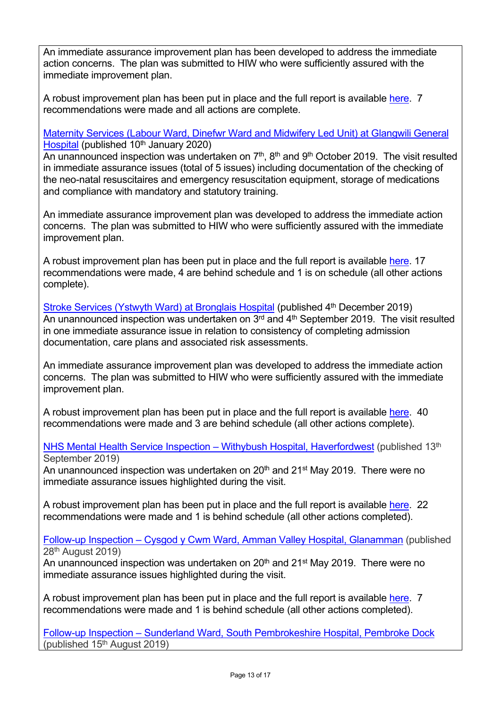An immediate assurance improvement plan has been developed to address the immediate action concerns. The plan was submitted to HIW who were sufficiently assured with the immediate improvement plan.

A robust improvement plan has been put in place and the full report is available [here](https://hiw.org.uk/sites/default/files/2020-01/19088%20-%20Bronglais%20Hospital%20(Maternity)%20-%20report%20for%20translation%20and%20publication.pdf). 7 recommendations were made and all actions are complete.

## [Maternity Services \(Labour Ward, Dinefwr Ward and Midwifery Led Unit\) at Glangwili General](https://hiw.org.uk/sites/default/files/2020-01/19127%20-%20Glangwili%20Hospital%20(Maternity)%20-%20Final%20E.pdf)  [Hospital](https://hiw.org.uk/sites/default/files/2020-01/19127%20-%20Glangwili%20Hospital%20(Maternity)%20-%20Final%20E.pdf) (published 10<sup>th</sup> January 2020)

An unannounced inspection was undertaken on 7<sup>th</sup>, 8<sup>th</sup> and 9<sup>th</sup> October 2019. The visit resulted in immediate assurance issues (total of 5 issues) including documentation of the checking of the neo-natal resuscitaires and emergency resuscitation equipment, storage of medications and compliance with mandatory and statutory training.

An immediate assurance improvement plan was developed to address the immediate action concerns. The plan was submitted to HIW who were sufficiently assured with the immediate improvement plan.

A robust improvement plan has been put in place and the full report is available [here](https://hiw.org.uk/sites/default/files/2020-01/19127%20-%20Glangwili%20Hospital%20(Maternity)%20-%20Final%20E.pdf). 17 recommendations were made, 4 are behind schedule and 1 is on schedule (all other actions complete).

[Stroke Services \(Ystwyth Ward\) at Bronglais Hospital](https://hiw.org.uk/sites/default/files/2019-12/191204bronglaishospitalen.pdf) (published 4<sup>th</sup> December 2019) An unannounced inspection was undertaken on 3<sup>rd</sup> and 4<sup>th</sup> September 2019. The visit resulted in one immediate assurance issue in relation to consistency of completing admission documentation, care plans and associated risk assessments.

An immediate assurance improvement plan was developed to address the immediate action concerns. The plan was submitted to HIW who were sufficiently assured with the immediate improvement plan.

A robust improvement plan has been put in place and the full report is available [here](https://hiw.org.uk/sites/default/files/2019-12/191204bronglaishospitalen.pdf). 40 recommendations were made and 3 are behind schedule (all other actions complete).

[NHS Mental Health Service Inspection – Withybush Hospital, Haverfordwest](https://hiw.org.uk/sites/default/files/2019-09/190913withybushhospitalen.pdf) (published 13<sup>th</sup>) September 2019)

An unannounced inspection was undertaken on  $20<sup>th</sup>$  and  $21<sup>st</sup>$  May 2019. There were no immediate assurance issues highlighted during the visit.

A robust improvement plan has been put in place and the full report is available [here](https://hiw.org.uk/sites/default/files/2019-09/190913withybushhospitalen.pdf). 22 recommendations were made and 1 is behind schedule (all other actions completed).

[Follow-up Inspection – Cysgod y Cwm Ward, Amman Valley Hospital, Glanamman](https://hiw.org.uk/sites/default/files/2019-08/190822ammanvalleyhospitalfolowupen.pdf) (published 28th August 2019)

An unannounced inspection was undertaken on  $20<sup>th</sup>$  and  $21<sup>st</sup>$  May 2019. There were no immediate assurance issues highlighted during the visit.

A robust improvement plan has been put in place and the full report is available [here](https://hiw.org.uk/sites/default/files/2019-08/190822ammanvalleyhospitalfolowupen.pdf). 7 recommendations were made and 1 is behind schedule (all other actions completed).

[Follow-up Inspection – Sunderland Ward, South Pembrokeshire Hospital, Pembroke Dock](https://hiw.org.uk/sites/default/files/2019-08/190815SouthPembrokeshireen.pdf)  (published  $15<sup>th</sup>$  August 2019)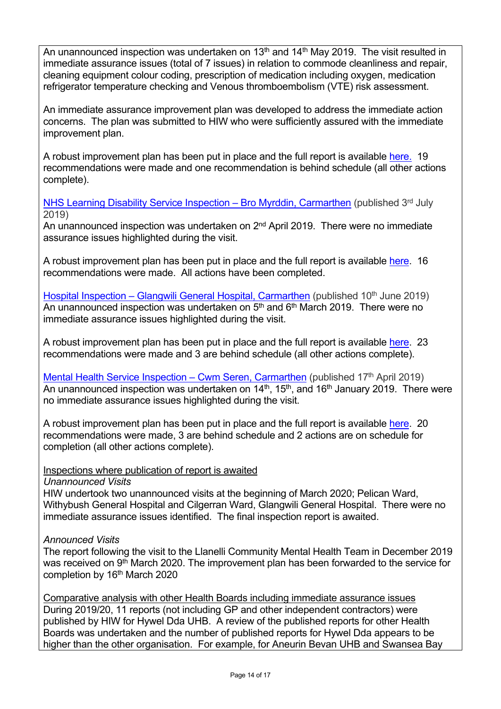An unannounced inspection was undertaken on 13<sup>th</sup> and 14<sup>th</sup> May 2019. The visit resulted in immediate assurance issues (total of 7 issues) in relation to commode cleanliness and repair, cleaning equipment colour coding, prescription of medication including oxygen, medication refrigerator temperature checking and Venous thromboembolism (VTE) risk assessment.

An immediate assurance improvement plan was developed to address the immediate action concerns. The plan was submitted to HIW who were sufficiently assured with the immediate improvement plan.

A robust improvement plan has been put in place and the full report is available [here.](https://hiw.org.uk/sites/default/files/2019-08/190815SouthPembrokeshireen.pdf) 19 recommendations were made and one recommendation is behind schedule (all other actions complete).

[NHS Learning Disability Service Inspection – Bro Myrddin, Carmarthen](https://hiw.org.uk/sites/default/files/2019-07/190703bromyrddinen.pdf) (published  $3<sup>rd</sup>$  July 2019)

An unannounced inspection was undertaken on 2<sup>nd</sup> April 2019. There were no immediate assurance issues highlighted during the visit.

A robust improvement plan has been put in place and the full report is available [here](https://hiw.org.uk/sites/default/files/2019-06/Cwm%20Seren%20Mental%20Health%20unit%20-%20January%202019.pdf). 16 recommendations were made. All actions have been completed.

[Hospital Inspection – Glangwili General Hospital, Carmarthen](https://hiw.org.uk/sites/default/files/2019-06/190610glangwilihospitalen.pdf) (published 10<sup>th</sup> June 2019) An unannounced inspection was undertaken on  $5<sup>th</sup>$  and  $6<sup>th</sup>$  March 2019. There were no immediate assurance issues highlighted during the visit.

A robust improvement plan has been put in place and the full report is available [here](https://hiw.org.uk/sites/default/files/2019-06/190610glangwilihospitalen.pdf). 23 recommendations were made and 3 are behind schedule (all other actions complete).

[Mental Health Service Inspection – Cwm Seren, Carmarthen](https://hiw.org.uk/sites/default/files/2019-06/Cwm%20Seren%20Mental%20Health%20unit%20-%20January%202019.pdf) (published  $17<sup>th</sup>$  April 2019) An unannounced inspection was undertaken on  $14<sup>th</sup>$ ,  $15<sup>th</sup>$ , and  $16<sup>th</sup>$  January 2019. There were no immediate assurance issues highlighted during the visit.

A robust improvement plan has been put in place and the full report is available [here](https://hiw.org.uk/sites/default/files/2019-06/Cwm%20Seren%20Mental%20Health%20unit%20-%20January%202019.pdf). 20 recommendations were made, 3 are behind schedule and 2 actions are on schedule for completion (all other actions complete).

Inspections where publication of report is awaited

*Unannounced Visits*

HIW undertook two unannounced visits at the beginning of March 2020; Pelican Ward, Withybush General Hospital and Cilgerran Ward, Glangwili General Hospital. There were no immediate assurance issues identified. The final inspection report is awaited.

## *Announced Visits*

The report following the visit to the Llanelli Community Mental Health Team in December 2019 was received on 9<sup>th</sup> March 2020. The improvement plan has been forwarded to the service for completion by 16<sup>th</sup> March 2020

Comparative analysis with other Health Boards including immediate assurance issues During 2019/20, 11 reports (not including GP and other independent contractors) were published by HIW for Hywel Dda UHB. A review of the published reports for other Health Boards was undertaken and the number of published reports for Hywel Dda appears to be higher than the other organisation. For example, for Aneurin Bevan UHB and Swansea Bay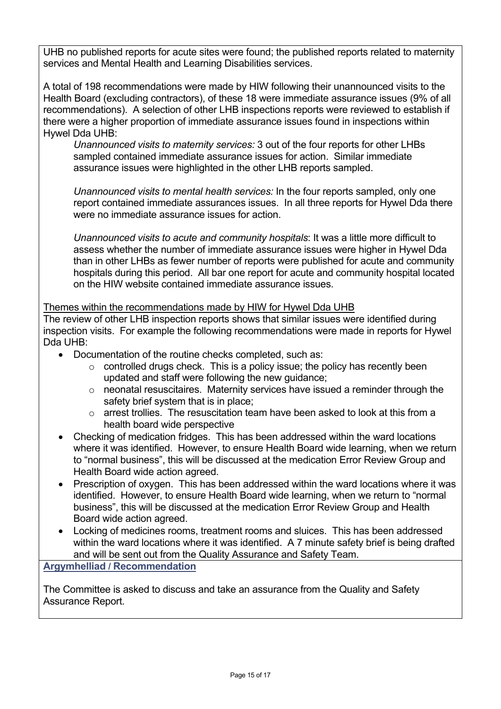UHB no published reports for acute sites were found; the published reports related to maternity services and Mental Health and Learning Disabilities services.

A total of 198 recommendations were made by HIW following their unannounced visits to the Health Board (excluding contractors), of these 18 were immediate assurance issues (9% of all recommendations). A selection of other LHB inspections reports were reviewed to establish if there were a higher proportion of immediate assurance issues found in inspections within Hywel Dda UHB:

*Unannounced visits to maternity services:* 3 out of the four reports for other LHBs sampled contained immediate assurance issues for action. Similar immediate assurance issues were highlighted in the other LHB reports sampled.

*Unannounced visits to mental health services:* In the four reports sampled, only one report contained immediate assurances issues. In all three reports for Hywel Dda there were no immediate assurance issues for action.

*Unannounced visits to acute and community hospitals*: It was a little more difficult to assess whether the number of immediate assurance issues were higher in Hywel Dda than in other LHBs as fewer number of reports were published for acute and community hospitals during this period. All bar one report for acute and community hospital located on the HIW website contained immediate assurance issues.

Themes within the recommendations made by HIW for Hywel Dda UHB

The review of other LHB inspection reports shows that similar issues were identified during inspection visits. For example the following recommendations were made in reports for Hywel Dda UHB:

- Documentation of the routine checks completed, such as:
	- $\circ$  controlled drugs check. This is a policy issue; the policy has recently been updated and staff were following the new guidance;
	- o neonatal resuscitaires. Maternity services have issued a reminder through the safety brief system that is in place;
	- o arrest trollies. The resuscitation team have been asked to look at this from a health board wide perspective
- Checking of medication fridges. This has been addressed within the ward locations where it was identified. However, to ensure Health Board wide learning, when we return to "normal business", this will be discussed at the medication Error Review Group and Health Board wide action agreed.
- Prescription of oxygen. This has been addressed within the ward locations where it was identified. However, to ensure Health Board wide learning, when we return to "normal business", this will be discussed at the medication Error Review Group and Health Board wide action agreed.
- Locking of medicines rooms, treatment rooms and sluices. This has been addressed within the ward locations where it was identified. A 7 minute safety brief is being drafted and will be sent out from the Quality Assurance and Safety Team.

## **Argymhelliad / Recommendation**

The Committee is asked to discuss and take an assurance from the Quality and Safety Assurance Report.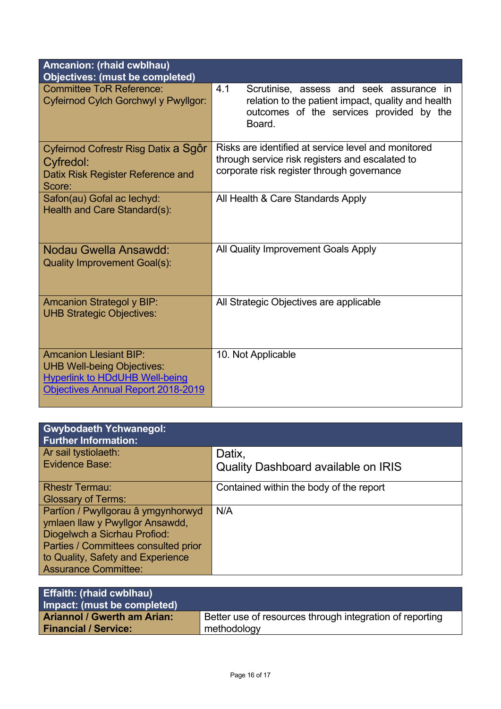| <b>Amcanion: (rhaid cwblhau)</b><br><b>Objectives: (must be completed)</b>                                                                        |                                                                                                                                                             |
|---------------------------------------------------------------------------------------------------------------------------------------------------|-------------------------------------------------------------------------------------------------------------------------------------------------------------|
| <b>Committee ToR Reference:</b><br>Cyfeirnod Cylch Gorchwyl y Pwyllgor:                                                                           | 4.1<br>Scrutinise, assess and seek assurance in<br>relation to the patient impact, quality and health<br>outcomes of the services provided by the<br>Board. |
| Cyfeirnod Cofrestr Risg Datix a Sgôr<br>Cyfredol:<br>Datix Risk Register Reference and<br>Score:                                                  | Risks are identified at service level and monitored<br>through service risk registers and escalated to<br>corporate risk register through governance        |
| Safon(au) Gofal ac lechyd:<br>Health and Care Standard(s):                                                                                        | All Health & Care Standards Apply                                                                                                                           |
| <b>Nodau Gwella Ansawdd:</b><br><b>Quality Improvement Goal(s):</b>                                                                               | All Quality Improvement Goals Apply                                                                                                                         |
| <b>Amcanion Strategol y BIP:</b><br><b>UHB Strategic Objectives:</b>                                                                              | All Strategic Objectives are applicable                                                                                                                     |
| <b>Amcanion Llesiant BIP:</b><br><b>UHB Well-being Objectives:</b><br><b>Hyperlink to HDdUHB Well-being</b><br>Objectives Annual Report 2018-2019 | 10. Not Applicable                                                                                                                                          |

| <b>Gwybodaeth Ychwanegol:</b><br><b>Further Information:</b> |                                            |
|--------------------------------------------------------------|--------------------------------------------|
| Ar sail tystiolaeth:<br>Evidence Base:                       | Datix,                                     |
|                                                              | <b>Quality Dashboard available on IRIS</b> |
| <b>Rhestr Termau:</b>                                        | Contained within the body of the report    |
| <b>Glossary of Terms:</b>                                    |                                            |
| Partïon / Pwyllgorau â ymgynhorwyd                           | N/A                                        |
| ymlaen llaw y Pwyllgor Ansawdd,                              |                                            |
| Diogelwch a Sicrhau Profiod:                                 |                                            |
| Parties / Committees consulted prior                         |                                            |
| to Quality, Safety and Experience                            |                                            |
| <b>Assurance Committee:</b>                                  |                                            |

| <b>Effaith: (rhaid cwblhau)</b><br>Impact: (must be completed) |                                                          |
|----------------------------------------------------------------|----------------------------------------------------------|
| <b>Ariannol / Gwerth am Arian:</b>                             | Better use of resources through integration of reporting |
| <b>Financial / Service:</b>                                    | methodology                                              |